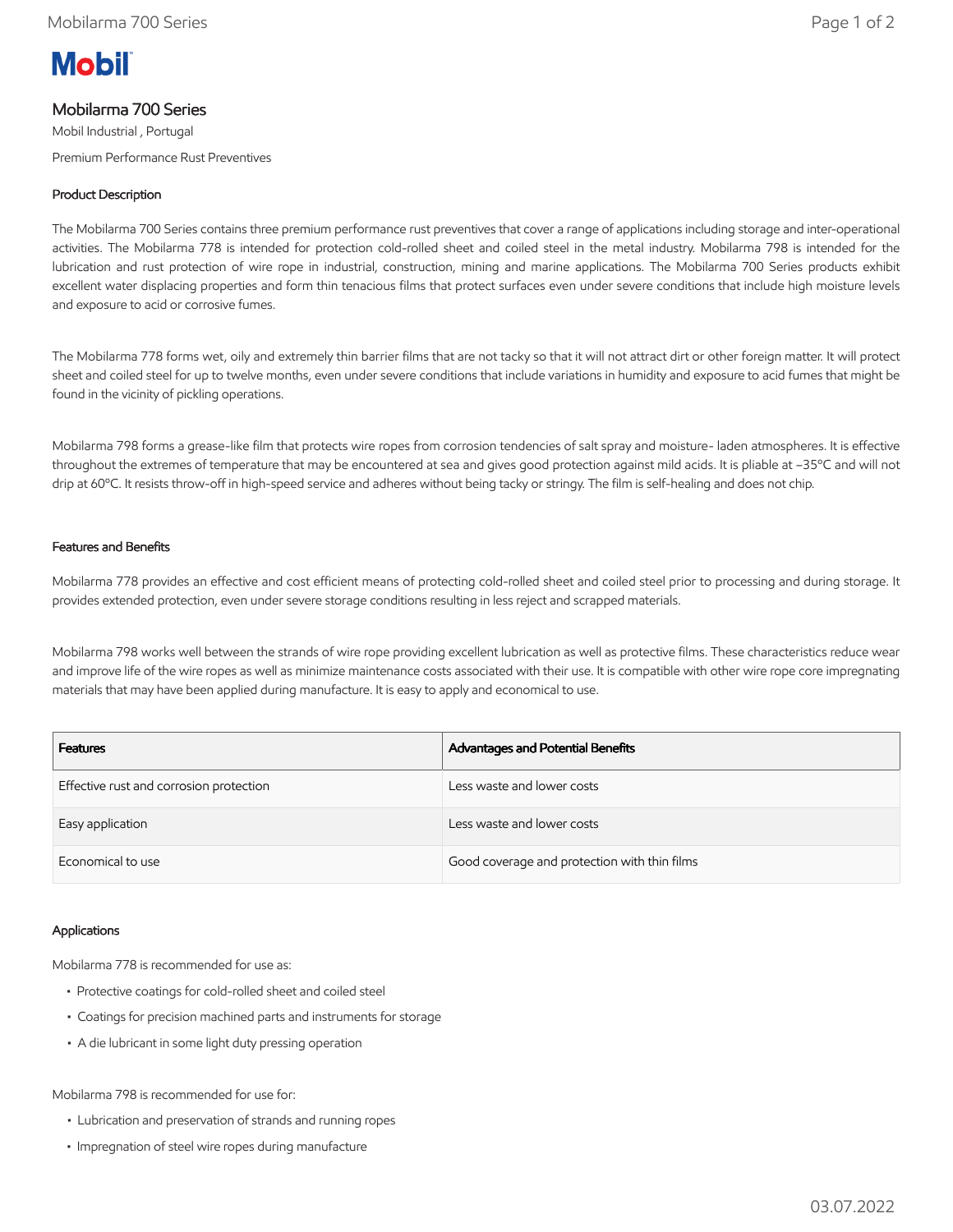# **Mobil**

# Mobilarma 700 Series

Mobil Industrial , Portugal Premium Performance Rust Preventives

## Product Description

The Mobilarma 700 Series contains three premium performance rust preventives that cover a range of applications including storage and inter-operational activities. The Mobilarma 778 is intended for protection cold-rolled sheet and coiled steel in the metal industry. Mobilarma 798 is intended for the lubrication and rust protection of wire rope in industrial, construction, mining and marine applications. The Mobilarma 700 Series products exhibit excellent water displacing properties and form thin tenacious films that protect surfaces even under severe conditions that include high moisture levels and exposure to acid or corrosive fumes.

The Mobilarma 778 forms wet, oily and extremely thin barrier films that are not tacky so that it will not attract dirt or other foreign matter. It will protect sheet and coiled steel for up to twelve months, even under severe conditions that include variations in humidity and exposure to acid fumes that might be found in the vicinity of pickling operations.

Mobilarma 798 forms a grease-like film that protects wire ropes from corrosion tendencies of salt spray and moisture- laden atmospheres. It is effective throughout the extremes of temperature that may be encountered at sea and gives good protection against mild acids. It is pliable at –35ºC and will not drip at 60ºC. It resists throw-off in high-speed service and adheres without being tacky or stringy. The film is self-healing and does not chip.

### Features and Benefits

Mobilarma 778 provides an effective and cost efficient means of protecting cold-rolled sheet and coiled steel prior to processing and during storage. It provides extended protection, even under severe storage conditions resulting in less reject and scrapped materials.

Mobilarma 798 works well between the strands of wire rope providing excellent lubrication as well as protective films. These characteristics reduce wear and improve life of the wire ropes as well as minimize maintenance costs associated with their use. It is compatible with other wire rope core impregnating materials that may have been applied during manufacture. It is easy to apply and economical to use.

| <b>Features</b>                         | Advantages and Potential Benefits            |
|-----------------------------------------|----------------------------------------------|
| Effective rust and corrosion protection | Less waste and lower costs                   |
| Easy application                        | Less waste and lower costs                   |
| Economical to use                       | Good coverage and protection with thin films |

#### Applications

Mobilarma 778 is recommended for use as:

- Protective coatings for cold-rolled sheet and coiled steel
- Coatings for precision machined parts and instruments for storage
- A die lubricant in some light duty pressing operation

Mobilarma 798 is recommended for use for:

- Lubrication and preservation of strands and running ropes
- Impregnation of steel wire ropes during manufacture